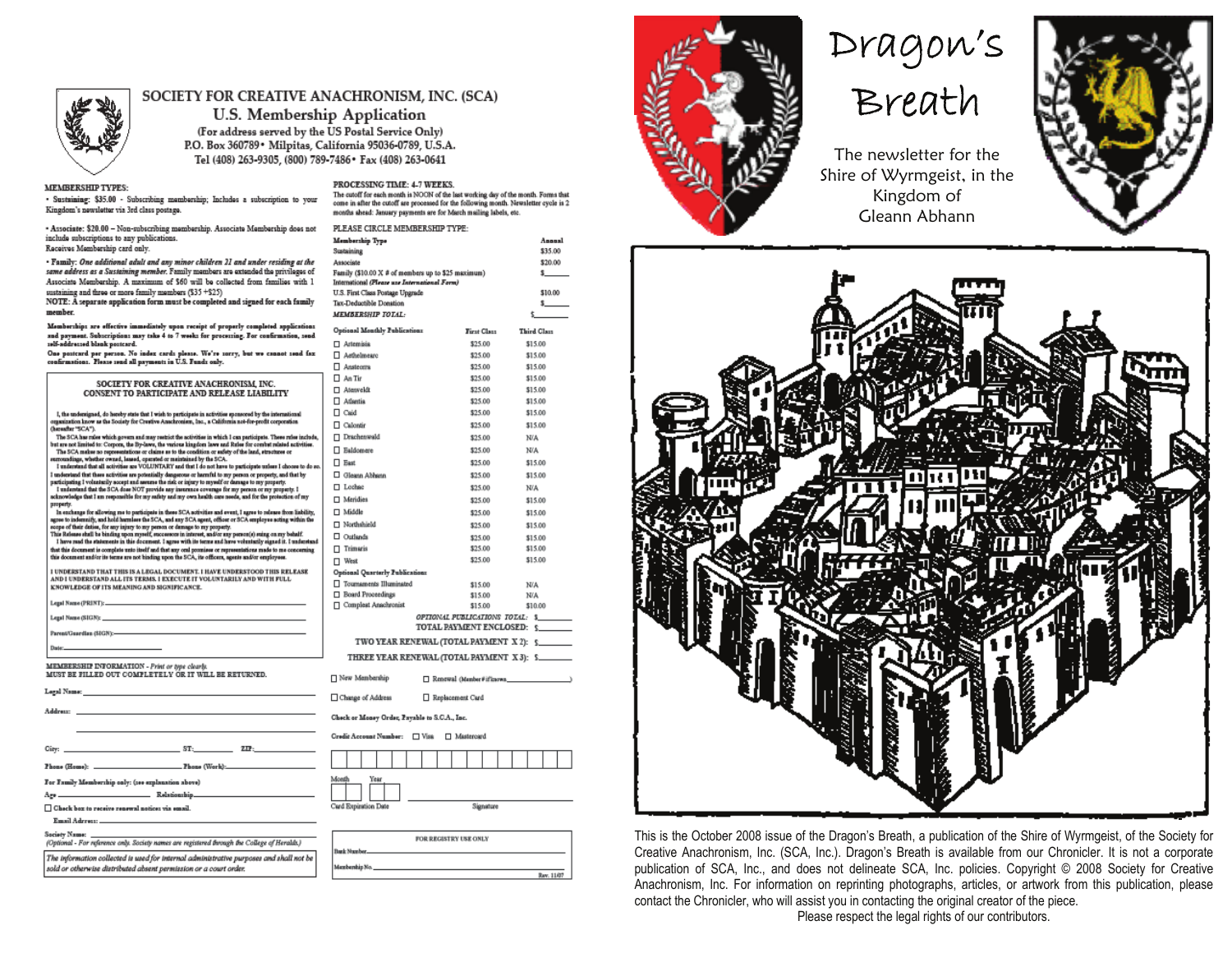

#### SOCIETY FOR CREATIVE ANACHRONISM, INC. (SCA)

U.S. Membership Application (For address served by the US Postal Service Only) P.O. Box 360789 · Milpitas, California 95036-0789, U.S.A. Tel (408) 263-9305, (800) 789-7486 \* Fax (408) 263-0641

PROCESSING TIME: 4-7 WEEKS.

PLEASE CIRCLE MEMBERSHIP TYPE:

Family (\$10.00 X # of members up to \$25 maximum)

International (Please use International Form)

U.S. First Class Postage Upgrade

Tay, Deductible Donation

MEMBERSHIP TOTAL:

Membership Type

Sustaining

Associate

The cutoff for each month is NOON of the last working day of the month. Forms that

come in after the cutoff are processed for the following month. Newaletter cycle is 2

Annual

\$35.00

\$20.00

 $\mathbf{s}$ 

\$10.00

 $\mathbf{s}$ 

months shead: January psyments are for March mailing labels, etc.

#### **MEMBERSHIP TYPES:**

· Sustaining: \$35.00 - Subscribing momborship; Includes a subscription to your Kingdom's newsletter via 3rd class postage.

- Associate: \$20.00 - Non-subscribing membership. Associate Membership does not include subscriptions to any publications. Receives Membership card only.

· Family: One additional adult and any minor children 21 and under residing at the same address as a Sustaining member. Family members are extended the privileges of Associate Membership. A maximum of \$60 will be collected from families with 1 sustaining and three or more family members (\$35 +\$25)

NOTE: A separate application form must be completed and signed for each family member

Memberships are effective immediately upon receipt of properly completed applica nad payment. Subscriptions may take 4 to 7 weeks for processing. For confirmation,<br>self-addressed blank postcard.

One postcard per person. No index cards please. We're sorry, but we cannot send<br>confirmations. Please send all payments in U.S. Funds only.

|                                                                                                                                                                                                                                   | $\sqcup$ Analei  |
|-----------------------------------------------------------------------------------------------------------------------------------------------------------------------------------------------------------------------------------|------------------|
| SOCIETY FOR CREATIVE ANACHRONISM. INC.                                                                                                                                                                                            | An Tu            |
| CONSENT TO PARTICIPATE AND RELEASE LIABILITY                                                                                                                                                                                      | $\Box$ Atenw     |
|                                                                                                                                                                                                                                   | $\Box$ Atlant    |
| I, the undersigned, do hereby state that I wish to participate in activities sponsored by the international                                                                                                                       | Π Caid           |
| arganization know as the Society for Crestive Anachronism, Inc., a California not-for-profit corporation<br>(harauftar "SCA").                                                                                                    | Calon            |
| The SCA has rules which govern and may restrict the activities in which I can participate. These rules include,<br>but are not limited to: Corpora, the By-lawe, the various kingdom lawe and Rules for combat missed activities. | $\Box$ Drach     |
| The SCA makes no representations or claims as to the condition or safety of the land, structures or                                                                                                                               | □ Baldo          |
| erroundings, whether owned, leased, operated or maintained by the SCA.<br>I understand that all activities are VOLUNTARY and that I do not have to participate unless I choose to do so.                                          | $\Box$ Bast      |
| understand that there activities are potentially dangerous or harmful to my person or property, and that by<br>surficipating I volunturily accept and assume the risk or injury to myself or damage to my property.               | $\Box$ Glean     |
| I understand that the SCA does NOT provide any insurance coverage for my person or my property. I                                                                                                                                 | $\Box$ Loche     |
| scknowledge that I am responsible for my safety and my own health care needs, and for the protection of my<br>property.                                                                                                           | $\Box$ Merid     |
| In exchange for allowing me to participate in these SCA activities and event, I agree to release from liability,                                                                                                                  | □ Middl          |
| agose to indemnify, and hold harmless the SCA, and any SCA agent, officer or SCA employee acting within the<br>scope of their deties, for any injury to my person or damage to my property.                                       | $\Box$ North     |
| This Release shall be binding upon reynelf, encourage in interest, and/or any person(s) suing on my behalf.<br>I have read the statements in this document. I agree with its terms and have voluntarily signed it. I understand   | $\square$ Outlar |
| fast this decument is complete unto itself and that any onal promises or representations made to me concerning                                                                                                                    | Trims            |
| this document and/or its terms are not binding upon the SCA, its officers, agents and/or employees.                                                                                                                               | $\Box$ West      |
| I UNDERSTAND THAT THIS IS A LIXGAL DOCUMENT. I HAVE UNDERSTOOD THIS RELEASE                                                                                                                                                       | Optional         |
| AND I UNDERSTAND ALL ITS TERMS. I EXECUTE IT VOLUNTARILY AND WITH FULL<br><b>KNOWLEDGE OF ITS MEANING AND SIGNIFICANCE.</b>                                                                                                       | $\Box$ Tourns    |
|                                                                                                                                                                                                                                   | □ Board          |
|                                                                                                                                                                                                                                   | $\Box$ Comp      |
|                                                                                                                                                                                                                                   |                  |
|                                                                                                                                                                                                                                   |                  |
| Darley, Charles and Charles and Charles and Charles and Charles and Charles and                                                                                                                                                   | т                |
|                                                                                                                                                                                                                                   | TШ               |
| EMBERSHIP INFORMATION - Print or type clearly.<br>IUST BE FILLED OUT COMPLETELY OR IT WILL BE RETURNED.                                                                                                                           | $\Box$ New M     |
| gal Name: In the contract of the contract of the contract of the contract of the contract of the contract of the contract of the contract of the contract of the contract of the contract of the contract of the contract of t    |                  |
|                                                                                                                                                                                                                                   | $\Box$ Change    |
| ddress:                                                                                                                                                                                                                           | Check or 1       |
|                                                                                                                                                                                                                                   | Credit Act       |
| $2.12 \pm 1.0$<br>ST:<br>iy: _                                                                                                                                                                                                    |                  |
|                                                                                                                                                                                                                                   |                  |
|                                                                                                                                                                                                                                   |                  |

For Family Membership only: (see explanation above)

□ Check box to receive renewal notices via email

Age.

Email Adress: Society Nam

Relationship

(Optional - For reference only. Society names are registered through the College of Heralds.) The information collected is used for internal administrative purposes and shall not be

sold or otherwise distributed absent permission or a court order.

| tions<br>annd. | Optional Monthly Publications                 | First Class                     | <b>Third Class</b> |
|----------------|-----------------------------------------------|---------------------------------|--------------------|
|                | □ Artemisis                                   | \$25.00                         | \$15.00            |
| l faz          | Aethelmearc                                   | \$25.00                         | \$15.00            |
|                | $\Box$ Ansteoms                               | \$25.00                         | \$15.00            |
|                | $\Box$ An Tir                                 | \$25.00                         | \$15.00            |
|                | □ Atenveldt                                   | \$25.00                         | \$15.00            |
|                | □ Atlantia                                    | \$25.00                         | \$15.00            |
|                | $\Box$ Caid                                   | \$25.00                         | \$15.00            |
|                | Calontir                                      | \$25.00                         | \$15.00            |
| nchada.        | □ Drachenwald                                 | \$25.00                         | N/A                |
| ttisu.         | □ Ealdomere                                   | \$25.00                         | N/A                |
| to do mo.      | $\Box$ East                                   | \$25.00                         | \$15.00            |
| Ŋ              | Gleann Abhann                                 | \$25.00                         | \$15.00            |
|                | □ Lochee                                      | \$25.00                         | N/A                |
| my             | □ Meridies                                    | \$25.00                         | \$15.00            |
| bility,        | □ Middle                                      | \$25.00                         | \$15.00            |
| n the          | □ Northshield                                 | \$25.00                         | \$15.00            |
|                | □ Outlands                                    | \$25.00                         | \$15.00            |
| entuad<br>mina | $\sqcap$ Trimaris                             | \$25.00                         | \$15.00            |
|                | □ West                                        | \$25.00                         | \$15.00            |
| ŚĒ.            | Optional Quarterly Publications               |                                 |                    |
|                | Tournaments Illuminated                       | \$15.00                         | N/A                |
|                | □ Board Proceedings                           | \$15.00                         | N/A                |
|                | Complest Anschronist                          | \$15.00                         | \$10.00            |
|                |                                               | OPIIONAL PUBLICATIONS TOTAL: \$ |                    |
|                |                                               | TOTAL PAYMENT ENCLOSED:         | $\sim$             |
|                | TWO YEAR RENEWAL (TOTAL PAYMENT X 2): 5       |                                 |                    |
|                | THREE YEAR RENEWAL (TOTAL PAYMENT X 3): \$    |                                 |                    |
|                | New Membership                                | Renewal (Member#iffeaowa_       |                    |
|                |                                               |                                 |                    |
|                | □ Change of Address                           | Replacement Card                |                    |
|                | Check or Money Order, Psyable to S.C.A., Inc. |                                 |                    |
|                | Credit Account Number: D Visa                 | □ Mastercard                    |                    |
|                |                                               |                                 |                    |
|                |                                               |                                 |                    |
|                | Month<br>Year                                 |                                 |                    |
|                |                                               |                                 |                    |
|                | Card Expiration Date                          | Signature                       |                    |
|                |                                               |                                 |                    |
|                |                                               |                                 |                    |

FOR REGISTRY USE ONLY Rev. 11/07



# Dragon's



The newsletter for the Shire of Wyrmgeist, in the Kingdom of Gleann Abhann





This is the October 2008 issue of the Dragon's Breath, a publication of the Shire of Wyrmgeist, of the Society for Creative Anachronism, Inc. (SCA, Inc.). Dragon's Breath is available from our Chronicler. It is not a corporate publication of SCA, Inc., and does not delineate SCA, Inc. policies. Copyright © 2008 Society for Creative Anachronism, Inc. For information on reprinting photographs, articles, or artwork from this publication, please contact the Chronicler, who will assist you in contacting the original creator of the piece.

Please respect the legal rights of our contributors.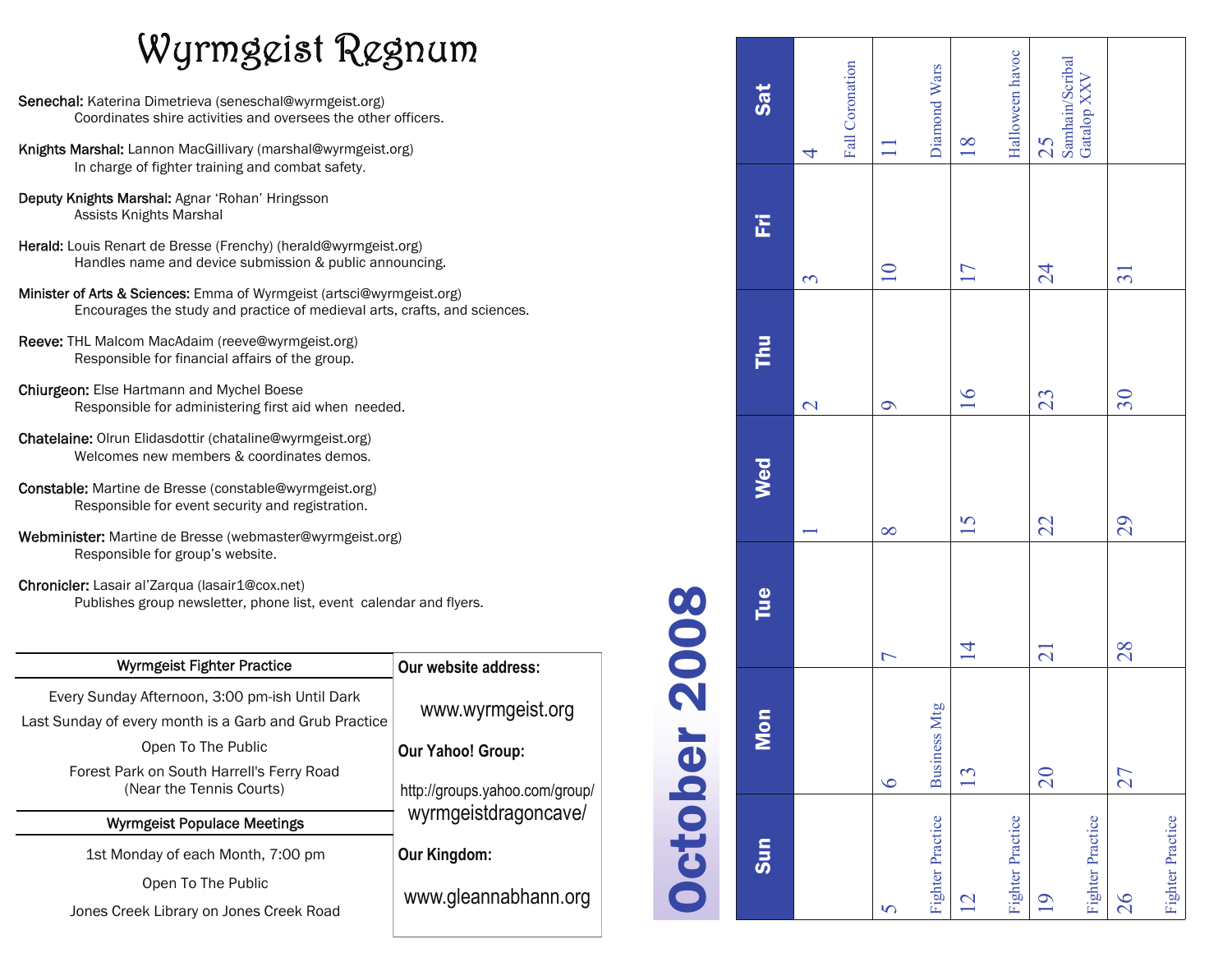# Wyrmgeist Regnum

- Senechal: Katerina Dimetrieva (seneschal@wyrmgeist.org) Coordinates shire activities and oversees the other officers.
- Knights Marshal: Lannon MacGillivary (marshal@wyrmgeist.org) In charge of fighter training and combat safety.
- Deputy Knights Marshal: Agnar 'Rohan' Hringsson Assists Knights Marshal
- Herald: Louis Renart de Bresse (Frenchy) (herald@wyrmgeist.org) Handles name and device submission & public announcing.
- Minister of Arts & Sciences: Emma of Wyrmgeist (artsci@wyrmgeist.org) Encourages the study and practice of medieval arts, crafts, and sciences.
- Reeve: THL Malcom MacAdaim (reeve@wyrmgeist.org) Responsible for financial affairs of the group.
- Chiurgeon: Else Hartmann and Mychel Boese Responsible for administering first aid when needed.
- Chatelaine: Olrun Elidasdottir (chataline@wyrmgeist.org) Welcomes new members & coordinates demos.
- Constable: Martine de Bresse (constable@wyrmgeist.org) Responsible for event security and registration.
- Webminister: Martine de Bresse (webmaster@wyrmgeist.org) Responsible for group's website.
- Chronicler: Lasair al'Zarqua (lasair1@cox.net) Publishes group newsletter, phone list, event calendar and flyers.

| Wyrmgeist Fighter Practice                                                                               | Our website address:                                   |  |
|----------------------------------------------------------------------------------------------------------|--------------------------------------------------------|--|
| Every Sunday Afternoon, 3:00 pm-ish Until Dark<br>Last Sunday of every month is a Garb and Grub Practice | www.wyrmgeist.org                                      |  |
| Open To The Public                                                                                       | <b>Our Yahoo! Group:</b>                               |  |
| Forest Park on South Harrell's Ferry Road<br>(Near the Tennis Courts)                                    | http://groups.yahoo.com/group/<br>wyrmgeistdragoncave/ |  |
| <b>Wyrmgeist Populace Meetings</b>                                                                       |                                                        |  |
| 1st Monday of each Month, 7:00 pm                                                                        | Our Kingdom:                                           |  |
| Open To The Public                                                                                       | www.gleannabhann.org                                   |  |
| Jones Creek Library on Jones Creek Road                                                                  |                                                        |  |
|                                                                                                          |                                                        |  |

#### Halloween havoc Halloween havoc Samhain/Scribal<br>Gatalop XXV Samhain/Scribal Fall Coronation Fall Coronation Diamond Wars Diamond Wars Gatalop XXV Sat tes in the multime to the same of the same of the same of the same of the same of the same of the same of the s 7 8 9 10 11 13 14 15 16 17 18 20 21 22 23 24 25  $\overline{18}$ 25 1 2 3  $|4$  $\overline{\mathcal{A}}$  $\overline{\phantom{0}}$ 匠 27 28 29 30 31  $\overline{10}$  $17$  $\overline{24}$  $\overline{31}$  $\infty$ **E**  $16$ 23  $30$  $\overline{\mathcal{C}}$  $\circ$ Wed  $\overline{15}$ 29 22  $\infty$  $\overline{\phantom{0}}$ Tue  $\overline{1}$  $\overline{21}$ 28  $\overline{C}$ Business Mtg Business Mtg Mon  $20$  $\mathbf{13}$  $27$  $\overline{6}$ Fighter Practice Fighter Practice Fighter Practice Fighter Practice **Fighter Practice** Fighter Practice Fighter Practice Fighter Practice  $sum$ 19 12 26  $\overline{S}$

October 2008

October 2008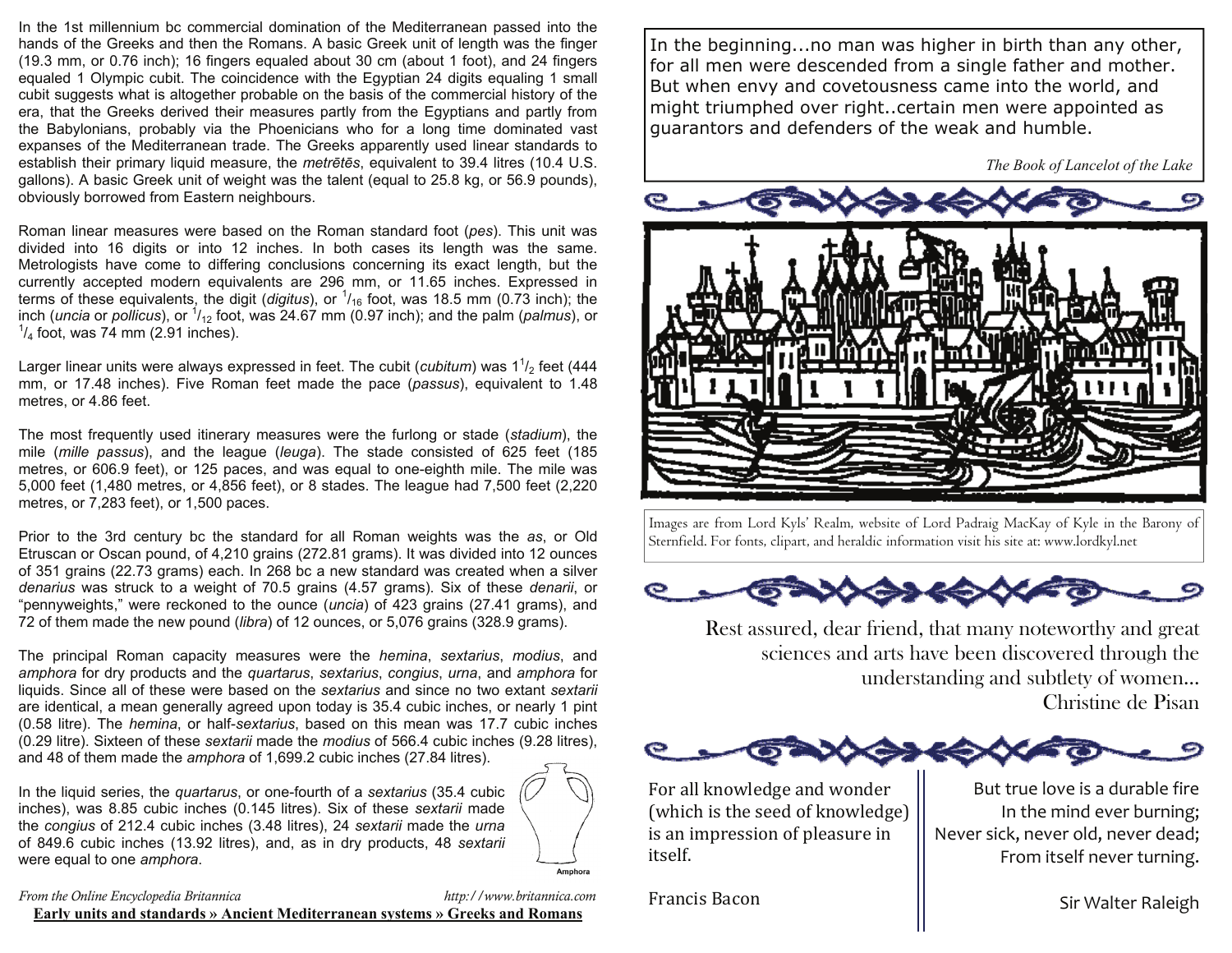In the 1st millennium bc commercial domination of the Mediterranean passed into the hands of the Greeks and then the Romans. A basic Greek unit of length was the finger (19.3 mm, or 0.76 inch); 16 fingers equaled about 30 cm (about 1 foot), and 24 fingers equaled 1 Olympic cubit. The coincidence with the Egyptian 24 digits equaling 1 small cubit suggests what is altogether probable on the basis of the commercial history of the era, that the Greeks derived their measures partly from the Egyptians and partly from the Babylonians, probably via the Phoenicians who for a long time dominated vast expanses of the Mediterranean trade. The Greeks apparently used linear standards to establish their primary liquid measure, the *metrētēs*, equivalent to 39.4 litres (10.4 U.S. gallons). A basic Greek unit of weight was the talent (equal to 25.8 kg, or 56.9 pounds), obviously borrowed from Eastern neighbours.

Roman linear measures were based on the Roman standard foot (*pes*). This unit was divided into 16 digits or into 12 inches. In both cases its length was the same. Metrologists have come to differing conclusions concerning its exact length, but the currently accepted modern equivalents are 296 mm, or 11.65 inches. Expressed in terms of these equivalents, the digit (*digitus*), or <sup>1</sup> /16 foot, was 18.5 mm (0.73 inch); the inch (*uncia* or *pollicus*), or <sup>1</sup>/<sub>12</sub> foot, was 24.67 mm (0.97 inch); and the palm (*palmus*), or  $\frac{1}{2}$  $\frac{1}{4}$  foot, was 74 mm (2.91 inches).

Larger linear units were always expressed in feet. The cubit (*cubitum*) was 1<sup>1</sup>/<sub>2</sub> feet (444 mm, or 17.48 inches). Five Roman feet made the pace (*passus*), equivalent to 1.48 metres, or 4.86 feet.

The most frequently used itinerary measures were the furlong or stade (*stadium*), the mile (*mille passus*), and the league (*leuga*). The stade consisted of 625 feet (185 metres, or 606.9 feet), or 125 paces, and was equal to one-eighth mile. The mile was 5,000 feet (1,480 metres, or 4,856 feet), or 8 stades. The league had 7,500 feet (2,220 metres, or 7,283 feet), or 1,500 paces.

Prior to the 3rd century bc the standard for all Roman weights was the *as*, or Old Etruscan or Oscan pound, of 4,210 grains (272.81 grams). It was divided into 12 ounces of 351 grains (22.73 grams) each. In 268 bc a new standard was created when a silver *denarius* was struck to a weight of 70.5 grains (4.57 grams). Six of these *denarii*, or "pennyweights," were reckoned to the ounce (*uncia*) of 423 grains (27.41 grams), and 72 of them made the new pound (*libra*) of 12 ounces, or 5,076 grains (328.9 grams).

The principal Roman capacity measures were the *hemina*, *sextarius*, *modius*, and *amphora* for dry products and the *quartarus*, *sextarius*, *congius*, *urna*, and *amphora* for liquids. Since all of these were based on the *sextarius* and since no two extant *sextarii* are identical, a mean generally agreed upon today is 35.4 cubic inches, or nearly 1 pint (0.58 litre). The *hemina*, or half-*sextarius*, based on this mean was 17.7 cubic inches (0.29 litre). Sixteen of these *sextarii* made the *modius* of 566.4 cubic inches (9.28 litres), and 48 of them made the *amphora* of 1,699.2 cubic inches (27.84 litres).

In the liquid series, the *quartarus*, or one-fourth of a *sextarius* (35.4 cubic inches), was 8.85 cubic inches (0.145 litres). Six of these *sextarii* made the *congius* of 212.4 cubic inches (3.48 litres), 24 *sextarii* made the *urna* of 849.6 cubic inches (13.92 litres), and, as in dry products, 48 *sextarii* were equal to one *amphora*.



*From the Online Encyclopedia Britannica http://www.britannica.com*  **Early units and standards » Ancient Mediterranean systems » Greeks and Romans**

In the beginning...no man was higher in birth than any other, for all men were descended from a single father and mother. But when envy and covetousness came into the world, and might triumphed over right..certain men were appointed as guarantors and defenders of the weak and humble.

 *The Book of Lancelot of the Lake* 



Images are from Lord Kyls' Realm, website of Lord Padraig MacKay of Kyle in the Barony of Sternfield. For fonts, clipart, and heraldic information visit his site at: www.lordkyl.net



Rest assured, dear friend, that many noteworthy and great sciences and arts have been discovered through the understanding and subtlety of women... Christine de Pisan



For all knowledge and wonder (which is the seed of knowledge) is an impression of pleasure in itself.

Francis Bacon

But true love is a durable fire In the mind ever burning; Never sick, never old, never dead; From itself never turning.

Sir Walter Raleigh